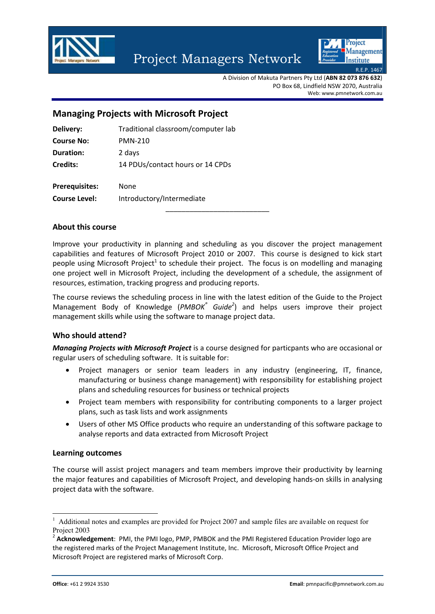



A Division of Makuta Partners Pty Ltd (**ABN 82 073 876 632**) PO Box 68, Lindfield NSW 2070, Australia Web: www.pmnetwork.com.au

# **Managing Projects with Microsoft Project**

| Delivery:             | Traditional classroom/computer lab |
|-----------------------|------------------------------------|
| <b>Course No:</b>     | <b>PMN-210</b>                     |
| <b>Duration:</b>      | 2 days                             |
| Credits:              | 14 PDUs/contact hours or 14 CPDs   |
| <b>Prerequisites:</b> | None                               |
| <b>Course Level:</b>  | Introductory/Intermediate          |

#### **About this course**

Improve your productivity in planning and scheduling as you discover the project management capabilities and features of Microsoft Project 2010 or 2007. This course is designed to kick start people using Microsoft Project<sup>1</sup> to schedule their project. The focus is on modelling and managing one project well in Microsoft Project, including the development of a schedule, the assignment of resources, estimation, tracking progress and producing reports.

The course reviews the scheduling process in line with the latest edition of the Guide to the Project Management Body of Knowledge (*PMBOK® Guide<sup>2</sup>* ) and helps users improve their project management skills while using the software to manage project data.

#### **Who should attend?**

*Managing Projects with Microsoft Project* is a course designed for particpants who are occasional or regular users of scheduling software. It is suitable for:

- Project managers or senior team leaders in any industry (engineering, IT, finance, manufacturing or business change management) with responsibility for establishing project plans and scheduling resources for business or technical projects
- Project team members with responsibility for contributing components to a larger project plans, such as task lists and work assignments
- Users of other MS Office products who require an understanding of this software package to analyse reports and data extracted from Microsoft Project

#### **Learning outcomes**

The course will assist project managers and team members improve their productivity by learning the major features and capabilities of Microsoft Project, and developing hands‐on skills in analysing project data with the software.

-

<sup>&</sup>lt;sup>1</sup> Additional notes and examples are provided for Project 2007 and sample files are available on request for Project 2003

<sup>2</sup> **Acknowledgement**: PMI, the PMI logo, PMP, PMBOK and the PMI Registered Education Provider logo are the registered marks of the Project Management Institute, Inc. Microsoft, Microsoft Office Project and Microsoft Project are registered marks of Microsoft Corp.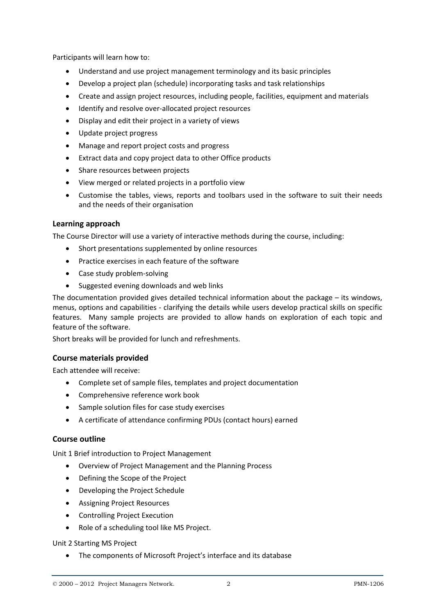Participants will learn how to:

- Understand and use project management terminology and its basic principles
- Develop a project plan (schedule) incorporating tasks and task relationships
- Create and assign project resources, including people, facilities, equipment and materials
- Identify and resolve over‐allocated project resources
- Display and edit their project in a variety of views
- Update project progress
- Manage and report project costs and progress
- Extract data and copy project data to other Office products
- Share resources between projects
- View merged or related projects in a portfolio view
- Customise the tables, views, reports and toolbars used in the software to suit their needs and the needs of their organisation

## **Learning approach**

The Course Director will use a variety of interactive methods during the course, including:

- Short presentations supplemented by online resources
- Practice exercises in each feature of the software
- Case study problem-solving
- Suggested evening downloads and web links

The documentation provided gives detailed technical information about the package – its windows, menus, options and capabilities ‐ clarifying the details while users develop practical skills on specific features. Many sample projects are provided to allow hands on exploration of each topic and feature of the software.

Short breaks will be provided for lunch and refreshments.

## **Course materials provided**

Each attendee will receive:

- Complete set of sample files, templates and project documentation
- Comprehensive reference work book
- Sample solution files for case study exercises
- A certificate of attendance confirming PDUs (contact hours) earned

## **Course outline**

Unit 1 Brief introduction to Project Management

- Overview of Project Management and the Planning Process
- Defining the Scope of the Project
- Developing the Project Schedule
- Assigning Project Resources
- Controlling Project Execution
- Role of a scheduling tool like MS Project.

Unit 2 Starting MS Project

The components of Microsoft Project's interface and its database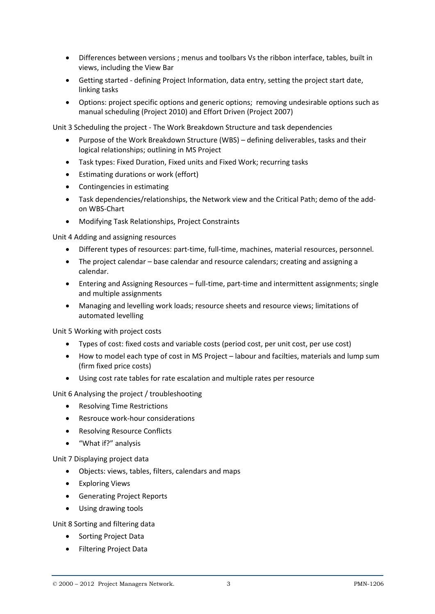- Differences between versions ; menus and toolbars Vs the ribbon interface, tables, built in views, including the View Bar
- Getting started defining Project Information, data entry, setting the project start date, linking tasks
- Options: project specific options and generic options; removing undesirable options such as manual scheduling (Project 2010) and Effort Driven (Project 2007)

Unit 3 Scheduling the project ‐ The Work Breakdown Structure and task dependencies

- Purpose of the Work Breakdown Structure (WBS) defining deliverables, tasks and their logical relationships; outlining in MS Project
- Task types: Fixed Duration, Fixed units and Fixed Work; recurring tasks
- Estimating durations or work (effort)
- Contingencies in estimating
- Task dependencies/relationships, the Network view and the Critical Path; demo of the addon WBS‐Chart
- Modifying Task Relationships, Project Constraints

Unit 4 Adding and assigning resources

- Different types of resources: part-time, full-time, machines, material resources, personnel.
- The project calendar base calendar and resource calendars; creating and assigning a calendar.
- Entering and Assigning Resources full‐time, part‐time and intermittent assignments; single and multiple assignments
- Managing and levelling work loads; resource sheets and resource views; limitations of automated levelling

Unit 5 Working with project costs

- Types of cost: fixed costs and variable costs (period cost, per unit cost, per use cost)
- How to model each type of cost in MS Project labour and facilties, materials and lump sum (firm fixed price costs)
- Using cost rate tables for rate escalation and multiple rates per resource

Unit 6 Analysing the project / troubleshooting

- Resolving Time Restrictions
- Resrouce work-hour considerations
- Resolving Resource Conflicts
- "What if?" analysis

Unit 7 Displaying project data

- Objects: views, tables, filters, calendars and maps
- Exploring Views
- Generating Project Reports
- Using drawing tools

Unit 8 Sorting and filtering data

- Sorting Project Data
- **•** Filtering Project Data